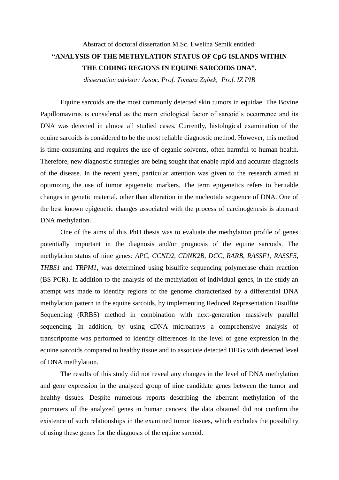## Abstract of doctoral dissertation M.Sc. Ewelina Semik entitled: **"ANALYSIS OF THE METHYLATION STATUS OF CpG ISLANDS WITHIN THE CODING REGIONS IN EQUINE SARCOIDS DNA",**

*dissertation advisor: Assoc. Prof. Tomasz Ząbek, Prof. IZ PIB*

Equine sarcoids are the most commonly detected skin tumors in equidae. The Bovine Papillomavirus is considered as the main etiological factor of sarcoid's occurrence and its DNA was detected in almost all studied cases. Currently, histological examination of the equine sarcoids is considered to be the most reliable diagnostic method. However, this method is time-consuming and requires the use of organic solvents, often harmful to human health. Therefore, new diagnostic strategies are being sought that enable rapid and accurate diagnosis of the disease. In the recent years, particular attention was given to the research aimed at optimizing the use of tumor epigenetic markers. The term epigenetics refers to heritable changes in genetic material, other than alteration in the nucleotide sequence of DNA. One of the best known epigenetic changes associated with the process of carcinogenesis is aberrant DNA methylation.

One of the aims of this PhD thesis was to evaluate the methylation profile of genes potentially important in the diagnosis and/or prognosis of the equine sarcoids. The methylation status of nine genes: *APC, CCND2, CDNK2B, DCC, RARB, RASSF1, RASSF5, THBS1* and *TRPM1*, was determined using bisulfite sequencing polymerase chain reaction (BS-PCR). In addition to the analysis of the methylation of individual genes, in the study an attempt was made to identify regions of the genome characterized by a differential DNA methylation pattern in the equine sarcoids, by implementing Reduced Representation Bisulfite Sequencing (RRBS) method in combination with next-generation massively parallel sequencing. In addition, by using cDNA microarrays a comprehensive analysis of transcriptome was performed to identify differences in the level of gene expression in the equine sarcoids compared to healthy tissue and to associate detected DEGs with detected level of DNA methylation.

The results of this study did not reveal any changes in the level of DNA methylation and gene expression in the analyzed group of nine candidate genes between the tumor and healthy tissues. Despite numerous reports describing the aberrant methylation of the promoters of the analyzed genes in human cancers, the data obtained did not confirm the existence of such relationships in the examined tumor tissues, which excludes the possibility of using these genes for the diagnosis of the equine sarcoid.